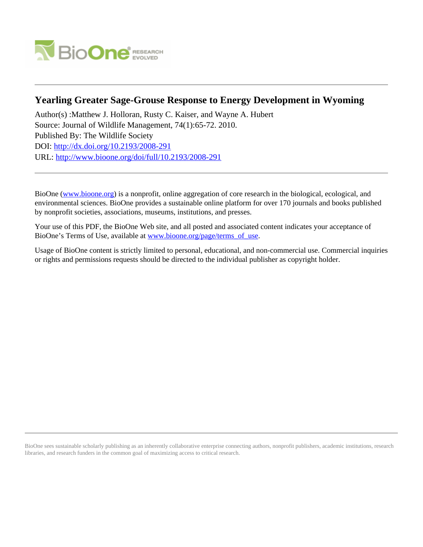

# **Yearling Greater Sage-Grouse Response to Energy Development in Wyoming**

Author(s) :Matthew J. Holloran, Rusty C. Kaiser, and Wayne A. Hubert Source: Journal of Wildlife Management, 74(1):65-72. 2010. Published By: The Wildlife Society DOI:<http://dx.doi.org/10.2193/2008-291> URL: <http://www.bioone.org/doi/full/10.2193/2008-291>

BioOne [\(www.bioone.org\)](http://www.bioone.org) is a nonprofit, online aggregation of core research in the biological, ecological, and environmental sciences. BioOne provides a sustainable online platform for over 170 journals and books published by nonprofit societies, associations, museums, institutions, and presses.

Your use of this PDF, the BioOne Web site, and all posted and associated content indicates your acceptance of BioOne's Terms of Use, available at [www.bioone.org/page/terms\\_of\\_use.](http://www.bioone.org/page/terms_of_use)

Usage of BioOne content is strictly limited to personal, educational, and non-commercial use. Commercial inquiries or rights and permissions requests should be directed to the individual publisher as copyright holder.

BioOne sees sustainable scholarly publishing as an inherently collaborative enterprise connecting authors, nonprofit publishers, academic institutions, research libraries, and research funders in the common goal of maximizing access to critical research.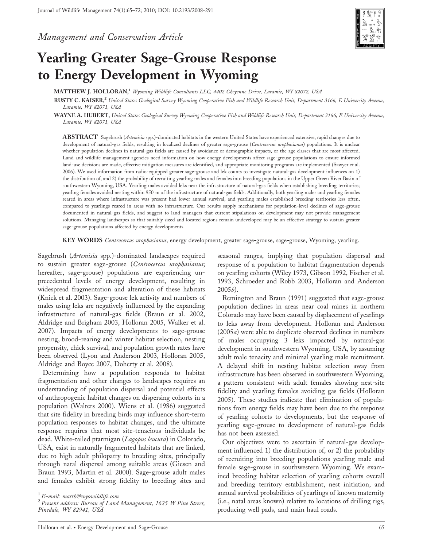# Management and Conservation Article



# Yearling Greater Sage-Grouse Response to Energy Development in Wyoming

MATTHEW J. HOLLORAN,<sup>1</sup> Wyoming Wildlife Consultants LLC, 4402 Cheyenne Drive, Laramie, WY 82072, USA

RUSTY C. KAISER,<sup>2</sup> United States Geological Survey Wyoming Cooperative Fish and Wildlife Research Unit, Department 3166, E University Avenue, Laramie, WY 82071, USA

WAYNE A. HUBERT, United States Geological Survey Wyoming Cooperative Fish and Wildlife Research Unit, Department 3166, E University Avenue, Laramie, WY 82071, USA

ABSTRACT Sagebrush (Artemisia spp.)-dominated habitats in the western United States have experienced extensive, rapid changes due to development of natural-gas fields, resulting in localized declines of greater sage-grouse (Centrocercus urophasianus) populations. It is unclear whether population declines in natural-gas fields are caused by avoidance or demographic impacts, or the age classes that are most affected. Land and wildlife management agencies need information on how energy developments affect sage-grouse populations to ensure informed land-use decisions are made, effective mitigation measures are identified, and appropriate monitoring programs are implemented (Sawyer et al. 2006). We used information from radio-equipped greater sage-grouse and lek counts to investigate natural-gas development influences on 1) the distribution of, and 2) the probability of recruiting yearling males and females into breeding populations in the Upper Green River Basin of southwestern Wyoming, USA. Yearling males avoided leks near the infrastructure of natural-gas fields when establishing breeding territories; yearling females avoided nesting within 950 m of the infrastructure of natural-gas fields. Additionally, both yearling males and yearling females reared in areas where infrastructure was present had lower annual survival, and yearling males established breeding territories less often, compared to yearlings reared in areas with no infrastructure. Our results supply mechanisms for population-level declines of sage-grouse documented in natural-gas fields, and suggest to land managers that current stipulations on development may not provide management solutions. Managing landscapes so that suitably sized and located regions remain undeveloped may be an effective strategy to sustain greater sage-grouse populations affected by energy developments.

KEY WORDS Centrocercus urophasianus, energy development, greater sage-grouse, sage-grouse, Wyoming, yearling.

Sagebrush (Artemisia spp.)-dominated landscapes required to sustain greater sage-grouse (Centrocercus urophasianus; hereafter, sage-grouse) populations are experiencing unprecedented levels of energy development, resulting in widespread fragmentation and alteration of these habitats (Knick et al. 2003). Sage-grouse lek activity and numbers of males using leks are negatively influenced by the expanding infrastructure of natural-gas fields (Braun et al. 2002, Aldridge and Brigham 2003, Holloran 2005, Walker et al. 2007). Impacts of energy developments to sage-grouse nesting, brood-rearing and winter habitat selection, nesting propensity, chick survival, and population growth rates have been observed (Lyon and Anderson 2003, Holloran 2005, Aldridge and Boyce 2007, Doherty et al. 2008).

Determining how a population responds to habitat fragmentation and other changes to landscapes requires an understanding of population dispersal and potential effects of anthropogenic habitat changes on dispersing cohorts in a population (Walters 2000). Wiens et al. (1986) suggested that site fidelity in breeding birds may influence short-term population responses to habitat changes, and the ultimate response requires that most site-tenacious individuals be dead. White-tailed ptarmigan (Lagopus leucura) in Colorado, USA, exist in naturally fragmented habitats that are linked, due to high adult philopatry to breeding sites, principally through natal dispersal among suitable areas (Giesen and Braun 1993, Martin et al. 2000). Sage-grouse adult males and females exhibit strong fidelity to breeding sites and

seasonal ranges, implying that population dispersal and response of a population to habitat fragmentation depends on yearling cohorts (Wiley 1973, Gibson 1992, Fischer et al. 1993, Schroeder and Robb 2003, Holloran and Anderson  $2005b$ ).

Remington and Braun (1991) suggested that sage-grouse population declines in areas near coal mines in northern Colorado may have been caused by displacement of yearlings to leks away from development. Holloran and Anderson (2005a) were able to duplicate observed declines in numbers of males occupying 3 leks impacted by natural-gas development in southwestern Wyoming, USA, by assuming adult male tenacity and minimal yearling male recruitment. A delayed shift in nesting habitat selection away from infrastructure has been observed in southwestern Wyoming, a pattern consistent with adult females showing nest-site fidelity and yearling females avoiding gas fields (Holloran 2005). These studies indicate that elimination of populations from energy fields may have been due to the response of yearling cohorts to developments, but the response of yearling sage-grouse to development of natural-gas fields has not been assessed.

Our objectives were to ascertain if natural-gas development influenced 1) the distribution of, or 2) the probability of recruiting into breeding populations yearling male and female sage-grouse in southwestern Wyoming. We examined breeding habitat selection of yearling cohorts overall and breeding territory establishment, nest initiation, and annual survival probabilities of yearlings of known maternity (i.e., natal areas known) relative to locations of drilling rigs, producing well pads, and main haul roads.

 $^1$ E-mail: matth@wyowildlife.com

 $^{2}$  Present address: Bureau of Land Management, 1625 W Pine Street, Pinedale, WY 82941, USA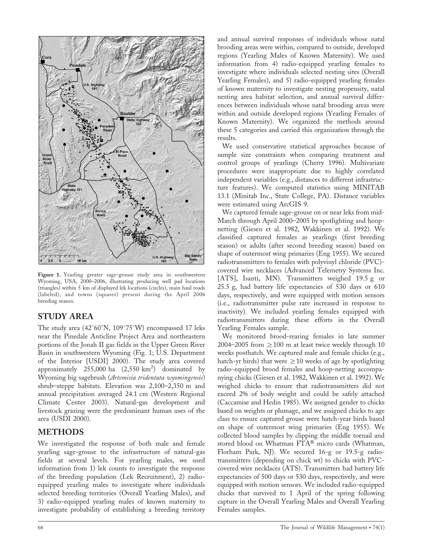

Figure 1. Yearling greater sage-grouse study area in southwestern Wyoming, USA, 2000–2006, illustrating producing well pad locations (triangles) within 5 km of displayed lek locations (circles), main haul roads (labeled), and towns (squares) present during the April 2006 breeding season.

# STUDY AREA

The study area  $(42^{\circ}60'N, 109^{\circ}75'W)$  encompassed 17 leks near the Pinedale Anticline Project Area and northeastern portions of the Jonah II gas fields in the Upper Green River Basin in southwestern Wyoming (Fig. 1; U.S. Department of the Interior [USDI] 2000). The study area covered approximately 255,000 ha  $(2,550 \text{ km}^2)$  dominated by Wyoming big sagebrush (Artemisia tridentata wyomingensis) shrub–steppe habitats. Elevation was 2,100–2,350 m and annual precipitation averaged 24.1 cm (Western Regional Climate Center 2003). Natural-gas development and livestock grazing were the predominant human uses of the area (USDI 2000).

# METHODS

We investigated the response of both male and female yearling sage-grouse to the infrastructure of natural-gas fields at several levels. For yearling males, we used information from 1) lek counts to investigate the response of the breeding population (Lek Recruitment), 2) radioequipped yearling males to investigate where individuals selected breeding territories (Overall Yearling Males), and 3) radio-equipped yearling males of known maternity to investigate probability of establishing a breeding territory and annual survival responses of individuals whose natal brooding areas were within, compared to outside, developed regions (Yearling Males of Known Maternity). We used information from 4) radio-equipped yearling females to investigate where individuals selected nesting sites (Overall Yearling Females), and 5) radio-equipped yearling females of known maternity to investigate nesting propensity, natal nesting area habitat selection, and annual survival differences between individuals whose natal brooding areas were within and outside developed regions (Yearling Females of Known Maternity). We organized the methods around these 5 categories and carried this organization through the results.

We used conservative statistical approaches because of sample size constraints when comparing treatment and control groups of yearlings (Cherry 1996). Multivariate procedures were inappropriate due to highly correlated independent variables (e.g., distances to different infrastructure features). We computed statistics using MINITAB 13.1 (Minitab Inc., State College, PA). Distance variables were estimated using ArcGIS 9.

We captured female sage-grouse on or near leks from mid-March through April 2000–2005 by spotlighting and hoopnetting (Giesen et al. 1982, Wakkinen et al. 1992). We classified captured females as yearlings (first breeding season) or adults (after second breeding season) based on shape of outermost wing primaries (Eng 1955). We secured radiotransmitters to females with polyvinyl chloride (PVC) covered wire necklaces (Advanced Telemetry Systems Inc. [ATS], Isanti, MN). Transmitters weighed 19.5 g or 25.5 g, had battery life expectancies of 530 days or 610 days, respectively, and were equipped with motion sensors (i.e., radiotransmitter pulse rate increased in response to inactivity). We included yearling females equipped with radiotransmitters during these efforts in the Overall Yearling Females sample.

We monitored brood-rearing females in late summer 2004–2005 from  $\geq$ 100 m at least twice weekly through 10 weeks posthatch. We captured male and female chicks (e.g., hatch-yr birds) that were  $\geq$  10 weeks of age by spotlighting radio-equipped brood females and hoop-netting accompanying chicks (Giesen et al. 1982, Wakkinen et al. 1992). We weighed chicks to ensure that radiotransmitters did not exceed 2% of body weight and could be safely attached (Caccamise and Hedin 1985). We assigned gender to chicks based on weights or plumage, and we assigned chicks to age class to ensure captured grouse were hatch-year birds based on shape of outermost wing primaries (Eng 1955). We collected blood samples by clipping the middle toenail and stored blood on Whatman FTA® micro cards (Whatman, Florham Park, NJ). We secured 16-g or 19.5-g radiotransmitters (depending on chick wt) to chicks with PVCcovered wire necklaces (ATS). Transmitters had battery life expectancies of 500 days or 530 days, respectively, and were equipped with motion sensors. We included radio-equipped chicks that survived to 1 April of the spring following capture in the Overall Yearling Males and Overall Yearling Females samples.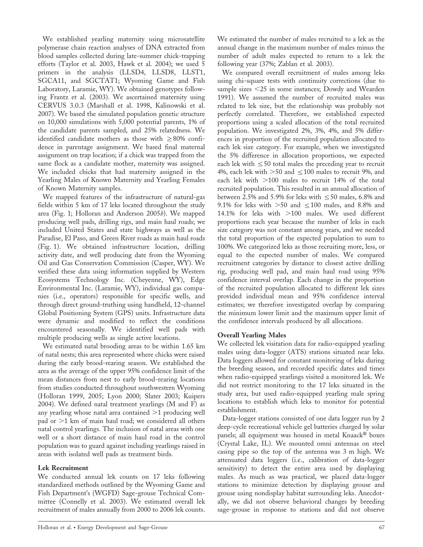We established yearling maternity using microsatellite polymerase chain reaction analyses of DNA extracted from blood samples collected during late-summer chick-trapping efforts (Taylor et al. 2003, Hawk et al. 2004); we used 5 primers in the analysis (LLSD4, LLSD8, LLST1, SGCA11, and SGCTAT1; Wyoming Game and Fish Laboratory, Laramie, WY). We obtained genotypes following Frantz et al. (2003). We ascertained maternity using CERVUS 3.0.3 (Marshall et al. 1998, Kalinowski et al. 2007). We based the simulated population genetic structure on 10,000 simulations with 5,000 potential parents, 1% of the candidate parents sampled, and 25% relatedness. We identified candidate mothers as those with  $\geq 80\%$  confidence in parentage assignment. We based final maternal assignment on trap location; if a chick was trapped from the same flock as a candidate mother, maternity was assigned. We included chicks that had maternity assigned in the Yearling Males of Known Maternity and Yearling Females of Known Maternity samples.

We mapped features of the infrastructure of natural-gas fields within 5 km of 17 leks located throughout the study area (Fig. 1; Holloran and Anderson 2005b). We mapped producing well pads, drilling rigs, and main haul roads; we included United States and state highways as well as the Paradise, El Paso, and Green River roads as main haul roads (Fig. 1). We obtained infrastructure location, drilling activity date, and well producing date from the Wyoming Oil and Gas Conservation Commission (Casper, WY). We verified these data using information supplied by Western Ecosystems Technology Inc. (Cheyenne, WY), Edge Environmental Inc. (Laramie, WY), individual gas companies (i.e., operators) responsible for specific wells, and through direct ground-truthing using handheld, 12-channel Global Positioning System (GPS) units. Infrastructure data were dynamic and modified to reflect the conditions encountered seasonally. We identified well pads with multiple producing wells as single active locations.

We estimated natal brooding areas to be within 1.65 km of natal nests; this area represented where chicks were raised during the early brood-rearing season. We established the area as the average of the upper 95% confidence limit of the mean distances from nest to early brood-rearing locations from studies conducted throughout southwestern Wyoming (Holloran 1999, 2005; Lyon 2000; Slater 2003; Kuipers 2004). We defined natal treatment yearlings (M and F) as any yearling whose natal area contained  $>1$  producing well pad or  $>1$  km of main haul road; we considered all others natal control yearlings. The inclusion of natal areas with one well or a short distance of main haul road in the control population was to guard against including yearlings raised in areas with isolated well pads as treatment birds.

#### Lek Recruitment

We conducted annual lek counts on 17 leks following standardized methods outlined by the Wyoming Game and Fish Department's (WGFD) Sage-grouse Technical Committee (Connelly et al. 2003). We estimated overall lek recruitment of males annually from 2000 to 2006 lek counts. We estimated the number of males recruited to a lek as the annual change in the maximum number of males minus the number of adult males expected to return to a lek the following year (37%; Zablan et al. 2003).

We compared overall recruitment of males among leks using chi-square tests with continuity corrections (due to sample sizes  $\leq$ 25 in some instances; Dowdy and Wearden 1991). We assumed the number of recruited males was related to lek size, but the relationship was probably not perfectly correlated. Therefore, we established expected proportions using a scaled allocation of the total recruited population. We investigated 2%, 3%, 4%, and 5% differences in proportion of the recruited population allocated to each lek size category. For example, when we investigated the 5% difference in allocation proportions, we expected each lek with  $\leq 50$  total males the preceding year to recruit 4%, each lek with  $>$  50 and  $\leq$  100 males to recruit 9%, and each lek with  $>100$  males to recruit 14% of the total recruited population. This resulted in an annual allocation of between 2.5% and 5.9% for leks with  $\leq$  50 males, 6.8% and 9.1% for leks with  $>50$  and  $\leq 100$  males, and 8.8% and 14.1% for leks with  $>100$  males. We used different proportions each year because the number of leks in each size category was not constant among years, and we needed the total proportion of the expected population to sum to 100%. We categorized leks as those recruiting more, less, or equal to the expected number of males. We compared recruitment categories by distance to closest active drilling rig, producing well pad, and main haul road using 95% confidence interval overlap. Each change in the proportion of the recruited population allocated to different lek sizes provided individual mean and 95% confidence interval estimates; we therefore investigated overlap by comparing the minimum lower limit and the maximum upper limit of the confidence intervals produced by all allocations.

#### Overall Yearling Males

We collected lek visitation data for radio-equipped yearling males using data-logger (ATS) stations situated near leks. Data loggers allowed for constant monitoring of leks during the breeding season, and recorded specific dates and times when radio-equipped yearlings visited a monitored lek. We did not restrict monitoring to the 17 leks situated in the study area, but used radio-equipped yearling male spring locations to establish which leks to monitor for potential establishment.

Data-logger stations consisted of one data logger run by 2 deep-cycle recreational vehicle gel batteries charged by solar panels; all equipment was housed in metal Knaack® boxes (Crystal Lake, IL). We mounted omni antennas on steel casing pipe so the top of the antenna was 3 m high. We attenuated data loggers (i.e., calibration of data-logger sensitivity) to detect the entire area used by displaying males. As much as was practical, we placed data-logger stations to minimize detection by displaying grouse and grouse using nondisplay habitat surrounding leks. Anecdotally, we did not observe behavioral changes by breeding sage-grouse in response to stations and did not observe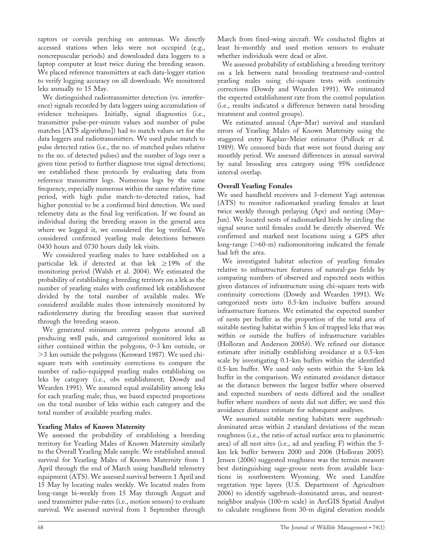raptors or corvids perching on antennas. We directly accessed stations when leks were not occupied (e.g., noncrepuscular periods) and downloaded data loggers to a laptop computer at least twice during the breeding season. We placed reference transmitters at each data-logger station to verify logging accuracy on all downloads. We monitored leks annually to 15 May.

We distinguished radiotransmitter detection (vs. interference) signals recorded by data loggers using accumulation of evidence techniques. Initially, signal diagnostics (i.e., transmitter pulse-per-minute values and number of pulse matches [ATS algorithms]) had to match values set for the data loggers and radiotransmitters. We used pulse match to pulse detected ratios (i.e., the no. of matched pulses relative to the no. of detected pulses) and the number of logs over a given time period to further diagnose true signal detections; we established these protocols by evaluating data from reference transmitter logs. Numerous logs by the same frequency, especially numerous within the same relative time period, with high pulse match-to-detected ratios, had higher potential to be a confirmed bird detection. We used telemetry data as the final log verification. If we found an individual during the breeding season in the general area where we logged it, we considered the log verified. We considered confirmed yearling male detections between 0430 hours and 0730 hours daily lek visits.

We considered yearling males to have established on a particular lek if detected at that lek  $\geq$ 19% of the monitoring period (Walsh et al. 2004). We estimated the probability of establishing a breeding territory on a lek as the number of yearling males with confirmed lek establishment divided by the total number of available males. We considered available males those intensively monitored by radiotelemetry during the breeding season that survived through the breeding season.

We generated minimum convex polygons around all producing well pads, and categorized monitored leks as either contained within the polygons, 0–3 km outside, or .3 km outside the polygons (Kenward 1987). We used chisquare tests with continuity corrections to compare the number of radio-equipped yearling males establishing on leks by category (i.e., obs establishment; Dowdy and Wearden 1991). We assumed equal availability among leks for each yearling male; thus, we based expected proportions on the total number of leks within each category and the total number of available yearling males.

#### Yearling Males of Known Maternity

We assessed the probability of establishing a breeding territory for Yearling Males of Known Maternity similarly to the Overall Yearling Male sample. We established annual survival for Yearling Males of Known Maternity from 1 April through the end of March using handheld telemetry equipment (ATS). We assessed survival between 1 April and 15 May by locating males weekly. We located males from long-range bi-weekly from 15 May through August and used transmitter pulse-rates (i.e., motion sensors) to evaluate survival. We assessed survival from 1 September through

March from fixed-wing aircraft. We conducted flights at least bi-monthly and used motion sensors to evaluate whether individuals were dead or alive.

We assessed probability of establishing a breeding territory on a lek between natal brooding treatment-and-control yearling males using chi-square tests with continuity corrections (Dowdy and Wearden 1991). We estimated the expected establishment rate from the control population (i.e., results indicated a difference between natal brooding treatment and control groups).

We estimated annual (Apr–Mar) survival and standard errors of Yearling Males of Known Maternity using the staggered entry Kaplan–Meier estimator (Pollock et al. 1989). We censored birds that were not found during any monthly period. We assessed differences in annual survival by natal brooding area category using 95% confidence interval overlap.

#### Overall Yearling Females

We used handheld receivers and 3-element Yagi antennas (ATS) to monitor radiomarked yearling females at least twice weekly through prelaying (Apr) and nesting (May– Jun). We located nests of radiomarked birds by circling the signal source until females could be directly observed. We confirmed and marked nest locations using a GPS after long-range  $(>60-m)$  radiomonitoring indicated the female had left the area.

We investigated habitat selection of yearling females relative to infrastructure features of natural-gas fields by comparing numbers of observed and expected nests within given distances of infrastructure using chi-square tests with continuity corrections (Dowdy and Wearden 1991). We categorized nests into 0.5-km inclusive buffers around infrastructure features. We estimated the expected number of nests per buffer as the proportion of the total area of suitable nesting habitat within 5 km of trapped leks that was within or outside the buffers of infrastructure variables (Holloran and Anderson 2005b). We refined our distance estimate after initially establishing avoidance at a 0.5-km scale by investigating 0.1-km buffers within the identified 0.5-km buffer. We used only nests within the 5-km lek buffer in the comparison. We estimated avoidance distance as the distance between the largest buffer where observed and expected numbers of nests differed and the smallest buffer where numbers of nests did not differ; we used this avoidance distance estimate for subsequent analyses.

We assumed suitable nesting habitats were sagebrushdominated areas within 2 standard deviations of the mean roughness (i.e., the ratio of actual surface area to planimetric area) of all nest sites (i.e., ad and yearling F) within the 5 km lek buffer between 2000 and 2006 (Holloran 2005). Jensen (2006) suggested roughness was the terrain measure best distinguishing sage-grouse nests from available locations in southwestern Wyoming. We used Landfire vegetation type layers (U.S. Department of Agriculture 2006) to identify sagebrush-dominated areas, and nearestneighbor analysis (100-m scale) in ArcGIS Spatial Analyst to calculate roughness from 30-m digital elevation models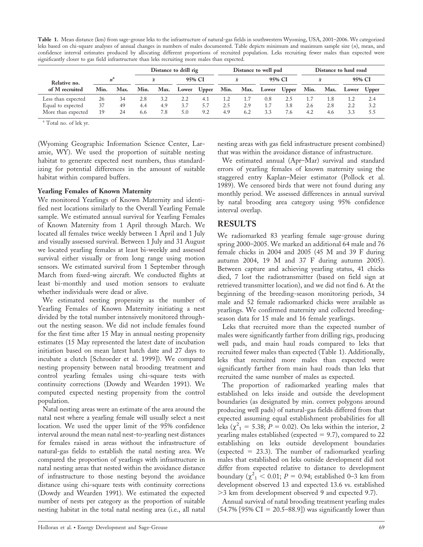Table 1. Mean distance (km) from sage-grouse leks to the infrastructure of natural-gas fields in southwestern Wyoming, USA, 2001–2006. We categorized leks based on chi-square analyses of annual changes in numbers of males documented. Table depicts minimum and maximum sample size (n), mean, and confidence interval estimates produced by allocating different proportions of recruited population. Leks recruiting fewer males than expected were significantly closer to gas field infrastructure than leks recruiting more males than expected.

|                    |             |      | Distance to drill rig |      |        |       | Distance to well pad |      |        |              | Distance to haul road |      |        |       |
|--------------------|-------------|------|-----------------------|------|--------|-------|----------------------|------|--------|--------------|-----------------------|------|--------|-------|
| Relative no.       | $n^{\rm a}$ |      | $\bar{x}$             |      | 95% CI |       |                      |      | 95% CI |              |                       |      | 95% CI |       |
| of M recruited     | Min.        | Max. | Min.                  | Max. | Lower  | Upper | Min.                 | Max. | Lower  | <b>Upper</b> | Min.                  | Max. | Lower  | Upper |
| Less than expected | 26          | 34   | 2.8                   | 3.2  | 2.2    | 4.1   | 1.2                  |      | 0.8    | 2.5          |                       | 1.8  | 1.2    | 2.4   |
| Equal to expected  | 37          | 49   | 4.4                   | 4.9  | 3.7    | 5.7   | 2.5                  | 2.9  | 1.7    | 3.8          | 2.6                   | 2.8  | 2.2    | 3.2   |
| More than expected | 19          | 24   | 6.6                   | 7.8  | 5.0    | 9.2   | 4.9                  | 6.2  | 3.3    | 7.6          | 4.2                   | 4.6  | 3.3    | 5.5   |

<sup>a</sup> Total no. of lek yr.

(Wyoming Geographic Information Science Center, Laramie, WY). We used the proportion of suitable nesting habitat to generate expected nest numbers, thus standardizing for potential differences in the amount of suitable habitat within compared buffers.

#### Yearling Females of Known Maternity

We monitored Yearlings of Known Maternity and identified nest locations similarly to the Overall Yearling Female sample. We estimated annual survival for Yearling Females of Known Maternity from 1 April through March. We located all females twice weekly between 1 April and 1 July and visually assessed survival. Between 1 July and 31 August we located yearling females at least bi-weekly and assessed survival either visually or from long range using motion sensors. We estimated survival from 1 September through March from fixed-wing aircraft. We conducted flights at least bi-monthly and used motion sensors to evaluate whether individuals were dead or alive.

We estimated nesting propensity as the number of Yearling Females of Known Maternity initiating a nest divided by the total number intensively monitored throughout the nesting season. We did not include females found for the first time after 15 May in annual nesting propensity estimates (15 May represented the latest date of incubation initiation based on mean latest hatch date and 27 days to incubate a clutch [Schroeder et al. 1999]). We compared nesting propensity between natal brooding treatment and control yearling females using chi-square tests with continuity corrections (Dowdy and Wearden 1991). We computed expected nesting propensity from the control population.

Natal nesting areas were an estimate of the area around the natal nest where a yearling female will usually select a nest location. We used the upper limit of the 95% confidence interval around the mean natal nest-to-yearling nest distances for females raised in areas without the infrastructure of natural-gas fields to establish the natal nesting area. We compared the proportion of yearlings with infrastructure in natal nesting areas that nested within the avoidance distance of infrastructure to those nesting beyond the avoidance distance using chi-square tests with continuity corrections (Dowdy and Wearden 1991). We estimated the expected number of nests per category as the proportion of suitable nesting habitat in the total natal nesting area (i.e., all natal nesting areas with gas field infrastructure present combined) that was within the avoidance distance of infrastructure.

We estimated annual (Apr–Mar) survival and standard errors of yearling females of known maternity using the staggered entry Kaplan–Meier estimator (Pollock et al. 1989). We censored birds that were not found during any monthly period. We assessed differences in annual survival by natal brooding area category using 95% confidence interval overlap.

## RESULTS

We radiomarked 83 yearling female sage-grouse during spring 2000–2005. We marked an additional 64 male and 76 female chicks in 2004 and 2005 (45 M and 39 F during autumn 2004, 19 M and 37 F during autumn 2005). Between capture and achieving yearling status, 41 chicks died, 7 lost the radiotransmitter (based on field sign at retrieved transmitter location), and we did not find 6. At the beginning of the breeding-season monitoring periods, 34 male and 52 female radiomarked chicks were available as yearlings. We confirmed maternity and collected breedingseason data for 15 male and 16 female yearlings.

Leks that recruited more than the expected number of males were significantly farther from drilling rigs, producing well pads, and main haul roads compared to leks that recruited fewer males than expected (Table 1). Additionally, leks that recruited more males than expected were significantly farther from main haul roads than leks that recruited the same number of males as expected.

The proportion of radiomarked yearling males that established on leks inside and outside the development boundaries (as designated by min. convex polygons around producing well pads) of natural-gas fields differed from that expected assuming equal establishment probabilities for all leks ( $\chi^2$ <sub>1</sub> = 5.38;  $\overline{P}$  = 0.02). On leks within the interior, 2 yearling males established (expected  $= 9.7$ ), compared to 22 establishing on leks outside development boundaries (expected  $= 23.3$ ). The number of radiomarked yearling males that established on leks outside development did not differ from expected relative to distance to development boundary ( $\chi^2$ <sub>1</sub> < 0.01; *P* = 0.94; established 0–3 km from development observed 13 and expected 13.6 vs. established .3 km from development observed 9 and expected 9.7).

Annual survival of natal brooding treatment yearling males  $(54.7\%$  [95% CI = 20.5–88.9]) was significantly lower than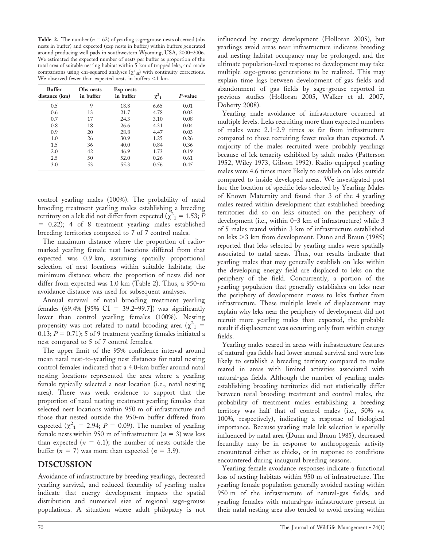**Table 2.** The number ( $n = 62$ ) of yearling sage-grouse nests observed (obs nests in buffer) and expected (exp nests in buffer) within buffers generated around producing well pads in southwestern Wyoming, USA, 2000–2006. We estimated the expected number of nests per buffer as proportion of the total area of suitable nesting habitat within 5 km of trapped leks, and made comparisons using chi-squared analyses  $(\chi^2_{\text{ df}})$  with continuity corrections. We observed fewer than expected nests in buffers  $\leq 1$  km.

| <b>Buffer</b><br>distance (km) | Obs nests<br>in buffer | Exp nests<br>in buffer | $\chi^2_{1}$ | $P$ -value |
|--------------------------------|------------------------|------------------------|--------------|------------|
| 0.5                            | 9                      | 18.8                   | 6.65         | 0.01       |
| 0.6                            | 13                     | 21.7                   | 4.78         | 0.03       |
| 0.7                            | 17                     | 24.3                   | 3.10         | 0.08       |
| 0.8                            | 18                     | 26.6                   | 4.31         | 0.04       |
| 0.9                            | 20                     | 28.8                   | 4.47         | 0.03       |
| 1.0                            | 26                     | 30.9                   | 1.25         | 0.26       |
| 1.5                            | 36                     | 40.0                   | 0.84         | 0.36       |
| 2.0                            | 42                     | 46.9                   | 1.73         | 0.19       |
| 2.5                            | 50                     | 52.0                   | 0.26         | 0.61       |
| 3.0                            | 53                     | 55.3                   | 0.56         | 0.45       |

control yearling males (100%). The probability of natal brooding treatment yearling males establishing a breeding territory on a lek did not differ from expected ( $\chi^2_{1} = 1.53; P$ 5 0.22); 4 of 8 treatment yearling males established breeding territories compared to 7 of 7 control males.

The maximum distance where the proportion of radiomarked yearling female nest locations differed from that expected was 0.9 km, assuming spatially proportional selection of nest locations within suitable habitats; the minimum distance where the proportion of nests did not differ from expected was 1.0 km (Table 2). Thus, a 950-m avoidance distance was used for subsequent analyses.

Annual survival of natal brooding treatment yearling females  $(69.4\%$  [95% CI = 39.2–99.7]) was significantly lower than control yearling females (100%). Nesting propensity was not related to natal brooding area ( $\chi^2_{1}$  = 0.13;  $P = 0.71$ ; 5 of 9 treatment yearling females initiated a nest compared to 5 of 7 control females.

The upper limit of the 95% confidence interval around mean natal nest-to-yearling nest distances for natal nesting control females indicated that a 4.0-km buffer around natal nesting locations represented the area where a yearling female typically selected a nest location (i.e., natal nesting area). There was weak evidence to support that the proportion of natal nesting treatment yearling females that selected nest locations within 950 m of infrastructure and those that nested outside the 950-m buffer differed from expected ( $\chi^2$ <sub>1</sub> = 2.94; *P* = 0.09). The number of yearling female nests within 950 m of infrastructure ( $n = 3$ ) was less than expected ( $n = 6.1$ ); the number of nests outside the buffer ( $n = 7$ ) was more than expected ( $n = 3.9$ ).

## DISCUSSION

Avoidance of infrastructure by breeding yearlings, decreased yearling survival, and reduced fecundity of yearling males indicate that energy development impacts the spatial distribution and numerical size of regional sage-grouse populations. A situation where adult philopatry is not influenced by energy development (Holloran 2005), but yearlings avoid areas near infrastructure indicates breeding and nesting habitat occupancy may be prolonged, and the ultimate population-level response to development may take multiple sage-grouse generations to be realized. This may explain time lags between development of gas fields and abandonment of gas fields by sage-grouse reported in previous studies (Holloran 2005, Walker et al. 2007, Doherty 2008).

Yearling male avoidance of infrastructure occurred at multiple levels. Leks recruiting more than expected numbers of males were 2.1–2.9 times as far from infrastructure compared to those recruiting fewer males than expected. A majority of the males recruited were probably yearlings because of lek tenacity exhibited by adult males (Patterson 1952, Wiley 1973, Gibson 1992). Radio-equipped yearling males were 4.6 times more likely to establish on leks outside compared to inside developed areas. We investigated post hoc the location of specific leks selected by Yearling Males of Known Maternity and found that 3 of the 4 yearling males reared within development that established breeding territories did so on leks situated on the periphery of development (i.e., within 0–3 km of infrastructure) while 3 of 5 males reared within 3 km of infrastructure established on leks  $>3$  km from development. Dunn and Braun (1985) reported that leks selected by yearling males were spatially associated to natal areas. Thus, our results indicate that yearling males that may generally establish on leks within the developing energy field are displaced to leks on the periphery of the field. Concurrently, a portion of the yearling population that generally establishes on leks near the periphery of development moves to leks farther from infrastructure. These multiple levels of displacement may explain why leks near the periphery of development did not recruit more yearling males than expected, the probable result if displacement was occurring only from within energy fields.

Yearling males reared in areas with infrastructure features of natural-gas fields had lower annual survival and were less likely to establish a breeding territory compared to males reared in areas with limited activities associated with natural-gas fields. Although the number of yearling males establishing breeding territories did not statistically differ between natal brooding treatment and control males, the probability of treatment males establishing a breeding territory was half that of control males (i.e., 50% vs. 100%, respectively), indicating a response of biological importance. Because yearling male lek selection is spatially influenced by natal area (Dunn and Braun 1985), decreased fecundity may be in response to anthropogenic activity encountered either as chicks, or in response to conditions encountered during inaugural breeding seasons.

Yearling female avoidance responses indicate a functional loss of nesting habitats within 950 m of infrastructure. The yearling female population generally avoided nesting within 950 m of the infrastructure of natural-gas fields, and yearling females with natural-gas infrastructure present in their natal nesting area also tended to avoid nesting within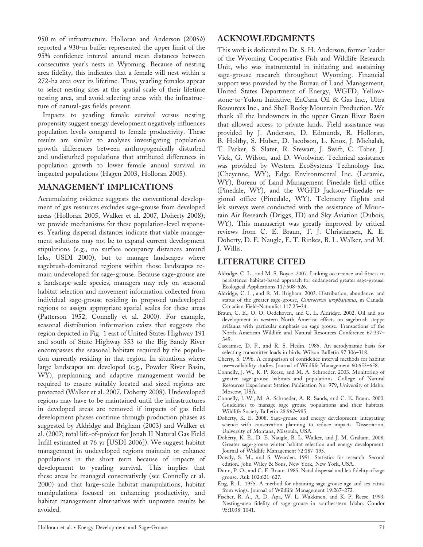950 m of infrastructure. Holloran and Anderson (2005b) reported a 930-m buffer represented the upper limit of the 95% confidence interval around mean distances between consecutive year's nests in Wyoming. Because of nesting area fidelity, this indicates that a female will nest within a 272-ha area over its lifetime. Thus, yearling females appear to select nesting sites at the spatial scale of their lifetime nesting area, and avoid selecting areas with the infrastructure of natural-gas fields present.

Impacts to yearling female survival versus nesting propensity suggest energy development negatively influences population levels compared to female productivity. These results are similar to analyses investigating population growth differences between anthropogenically disturbed and undisturbed populations that attributed differences in population growth to lower female annual survival in impacted populations (Hagen 2003, Holloran 2005).

## MANAGEMENT IMPLICATIONS

Accumulating evidence suggests the conventional development of gas resources excludes sage-grouse from developed areas (Holloran 2005, Walker et al. 2007, Doherty 2008); we provide mechanisms for these population-level responses. Yearling dispersal distances indicate that viable management solutions may not be to expand current development stipulations (e.g., no surface occupancy distances around leks; USDI 2000), but to manage landscapes where sagebrush-dominated regions within those landscapes remain undeveloped for sage-grouse. Because sage-grouse are a landscape-scale species, managers may rely on seasonal habitat selection and movement information collected from individual sage-grouse residing in proposed undeveloped regions to assign appropriate spatial scales for these areas (Patterson 1952, Connelly et al. 2000). For example, seasonal distribution information exists that suggests the region depicted in Fig. 1 east of United States Highway 191 and south of State Highway 353 to the Big Sandy River encompasses the seasonal habitats required by the population currently residing in that region. In situations where large landscapes are developed (e.g., Powder River Basin, WY), preplanning and adaptive management would be required to ensure suitably located and sized regions are protected (Walker et al. 2007, Doherty 2008). Undeveloped regions may have to be maintained until the infrastructures in developed areas are removed if impacts of gas field development phases continue through production phases as suggested by Aldridge and Brigham (2003) and Walker et al. (2007; total life-of-project for Jonah II Natural Gas Field Infill estimated at 76 yr [USDI 2006]). We suggest habitat management in undeveloped regions maintain or enhance populations in the short term because of impacts of development to yearling survival. This implies that these areas be managed conservatively (see Connelly et al. 2000) and that large-scale habitat manipulations, habitat manipulations focused on enhancing productivity, and habitat management alternatives with unproven results be avoided.

### ACKNOWLEDGMENTS

This work is dedicated to Dr. S. H. Anderson, former leader of the Wyoming Cooperative Fish and Wildlife Research Unit, who was instrumental in initiating and sustaining sage-grouse research throughout Wyoming. Financial support was provided by the Bureau of Land Management, United States Department of Energy, WGFD, Yellowstone-to-Yukon Initiative, EnCana Oil & Gas Inc., Ultra Resources Inc., and Shell Rocky Mountain Production. We thank all the landowners in the upper Green River Basin that allowed access to private lands. Field assistance was provided by J. Anderson, D. Edmunds, R. Holloran, B. Holtby, S. Huber, D. Jacobson, L. Knox, J. Michalak, T. Parker, S. Slater, R. Stewart, J. Swift, C. Taber, J. Vick, G. Wilson, and D. Woolwine. Technical assistance was provided by Western EcoSystems Technology Inc. (Cheyenne, WY), Edge Environmental Inc. (Laramie, WY), Bureau of Land Management Pinedale field office (Pinedale, WY), and the WGFD Jackson–Pinedale regional office (Pinedale, WY). Telemetry flights and lek surveys were conducted with the assistance of Mountain Air Research (Driggs, ID) and Sky Aviation (Dubois, WY). This manuscript was greatly improved by critical reviews from C. E. Braun, T. J. Christiansen, K. E. Doherty, D. E. Naugle, E. T. Rinkes, B. L. Walker, and M. J. Willis.

# LITERATURE CITED

- Aldridge, C. L., and M. S. Boyce. 2007. Linking occurrence and fitness to persistence: habitat-based approach for endangered greater sage-grouse. Ecological Applications 117:508–526.
- Aldridge, C. L., and R. M. Brigham. 2003. Distribution, abundance, and status of the greater sage-grouse, Centrocercus urophasianus, in Canada. Canadian Field-Naturalist 117:25–34.
- Braun, C. E., O. O. Oedekoven, and C. L. Aldridge. 2002. Oil and gas development in western North America: effects on sagebrush steppe avifauna with particular emphasis on sage grouse. Transactions of the North American Wildlife and Natural Resources Conference 67:337– 349.
- Caccamise, D. F., and R. S. Hedin. 1985. An aerodynamic basis for selecting transmitter loads in birds. Wilson Bulletin 97:306–318.
- Cherry, S. 1996. A comparison of confidence interval methods for habitat use–availability studies. Journal of Wildlife Management 60:653–658.
- Connelly, J. W., K. P. Reese, and M. A. Schroeder. 2003. Monitoring of greater sage-grouse habitats and populations. College of Natural Resources Experiment Station Publication No. 979, University of Idaho, Moscow, USA.
- Connelly, J. W., M. A. Schroeder, A. R. Sands, and C. E. Braun. 2000. Guidelines to manage sage grouse populations and their habitats. Wildlife Society Bulletin 28:967–985.
- Doherty, K. E. 2008. Sage-grouse and energy development: integrating science with conservation planning to reduce impacts. Dissertation, University of Montana, Missoula, USA.
- Doherty, K. E., D. E. Naugle, B. L. Walker, and J. M. Graham. 2008. Greater sage-grouse winter habitat selection and energy development. Journal of Wildlife Management 72:187–195.
- Dowdy, S. M., and S. Wearden. 1991. Statistics for research. Second edition. John Wiley & Sons, New York, New York, USA.
- Dunn, P. O., and C. E. Braun. 1985. Natal dispersal and lek fidelity of sage grouse. Auk 102:621–627.
- Eng, R. L. 1955. A method for obtaining sage grouse age and sex ratios from wings. Journal of Wildlife Management 19:267–272.
- Fischer, R. A., A. D. Apa, W. L. Wakkinen, and K. P. Reese. 1993. Nesting-area fidelity of sage grouse in southeastern Idaho. Condor 95:1038–1041.